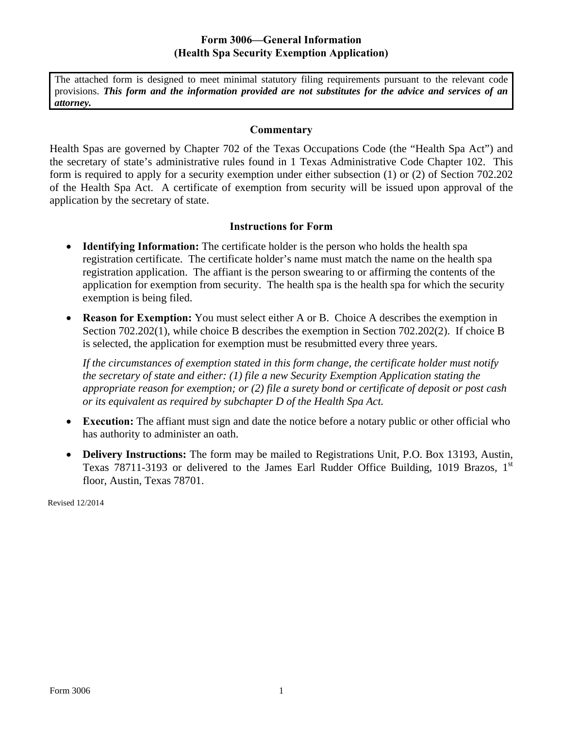## **Form 3006—General Information (Health Spa Security Exemption Application)**

The attached form is designed to meet minimal statutory filing requirements pursuant to the relevant code provisions. *This form and the information provided are not substitutes for the advice and services of an attorney.* 

#### **Commentary**

Health Spas are governed by Chapter 702 of the Texas Occupations Code (the "Health Spa Act") and the secretary of state's administrative rules found in 1 Texas Administrative Code Chapter 102. This form is required to apply for a security exemption under either subsection (1) or (2) of Section 702.202 of the Health Spa Act. A certificate of exemption from security will be issued upon approval of the application by the secretary of state.

### **Instructions for Form**

- **Identifying Information:** The certificate holder is the person who holds the health spa registration certificate. The certificate holder's name must match the name on the health spa registration application. The affiant is the person swearing to or affirming the contents of the application for exemption from security. The health spa is the health spa for which the security exemption is being filed.
- **Reason for Exemption:** You must select either A or B. Choice A describes the exemption in Section 702.202(1), while choice B describes the exemption in Section 702.202(2). If choice B is selected, the application for exemption must be resubmitted every three years.

*If the circumstances of exemption stated in this form change, the certificate holder must notify the secretary of state and either: (1) file a new Security Exemption Application stating the appropriate reason for exemption; or (2) file a surety bond or certificate of deposit or post cash or its equivalent as required by subchapter D of the Health Spa Act.* 

- **Execution:** The affiant must sign and date the notice before a notary public or other official who has authority to administer an oath.
- **Delivery Instructions:** The form may be mailed to Registrations Unit, P.O. Box 13193, Austin, Texas 78711-3193 or delivered to the James Earl Rudder Office Building, 1019 Brazos,  $1<sup>st</sup>$ floor, Austin, Texas 78701.

Revised 12/2014